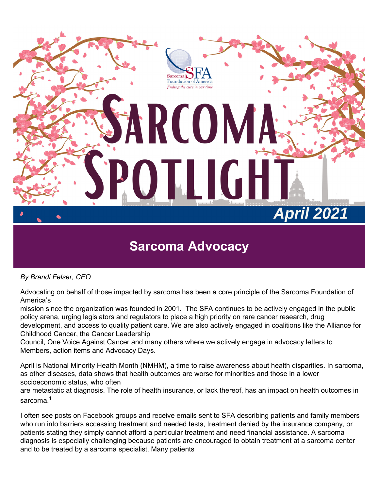

*By Brandi Felser, CEO*

Advocating on behalf of those impacted by sarcoma has been a core principle of the Sarcoma Foundation of America's

mission since the organization was founded in 2001. The SFA continues to be actively engaged in the public policy arena, urging legislators and regulators to place a high priority on rare cancer research, drug development, and access to quality patient care. We are also actively engaged in coalitions like the Alliance for Childhood Cancer, the Cancer Leadership

Council, One Voice Against Cancer and many others where we actively engage in advocacy letters to Members, action items and Advocacy Days.

April is National Minority Health Month (NMHM), a time to raise awareness about health disparities. In sarcoma, as other diseases, data shows that health outcomes are worse for minorities and those in a lower socioeconomic status, who often

are metastatic at diagnosis. The role of health insurance, or lack thereof, has an impact on health outcomes in sarcoma.<sup>1</sup>

I often see posts on Facebook groups and receive emails sent to SFA describing patients and family members who run into barriers accessing treatment and needed tests, treatment denied by the insurance company, or patients stating they simply cannot afford a particular treatment and need financial assistance. A sarcoma diagnosis is especially challenging because patients are encouraged to obtain treatment at a sarcoma center and to be treated by a sarcoma specialist. Many patients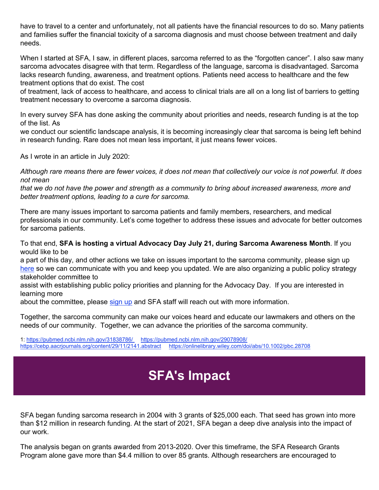have to travel to a center and unfortunately, not all patients have the financial resources to do so. Many patients and families suffer the financial toxicity of a sarcoma diagnosis and must choose between treatment and daily needs.

When I started at SFA, I saw, in different places, sarcoma referred to as the "forgotten cancer". I also saw many sarcoma advocates disagree with that term. Regardless of the language, sarcoma is disadvantaged. Sarcoma lacks research funding, awareness, and treatment options. Patients need access to healthcare and the few treatment options that do exist. The cost

of treatment, lack of access to healthcare, and access to clinical trials are all on a long list of barriers to getting treatment necessary to overcome a sarcoma diagnosis.

In every survey SFA has done asking the community about priorities and needs, research funding is at the top of the list. As

we conduct our scientific landscape analysis, it is becoming increasingly clear that sarcoma is being left behind in research funding. Rare does not mean less important, it just means fewer voices.

As I wrote in an article in July 2020:

*Although rare means there are fewer voices, it does not mean that collectively our voice is not powerful. It does not mean* 

*that we do not have the power and strength as a community to bring about increased awareness, more and better treatment options, leading to a cure for sarcoma.*

There are many issues important to sarcoma patients and family members, researchers, and medical professionals in our community. Let's come together to address these issues and advocate for better outcomes for sarcoma patients.

To that end, **SFA is hosting a virtual Advocacy Day July 21, during Sarcoma Awareness Month**. If you would like to be

a part of this day, and other actions we take on issues important to the sarcoma community, please sign up here so we can communicate with you and keep you updated. We are also organizing a public policy strategy stakeholder committee to

assist with establishing public policy priorities and planning for the Advocacy Day. If you are interested in learning more

about the committee, please sign up and SFA staff will reach out with more information.

Together, the sarcoma community can make our voices heard and educate our lawmakers and others on the needs of our community. Together, we can advance the priorities of the sarcoma community.

1: https://pubmed.ncbi.nlm.nih.gov/31838786/ https://pubmed.ncbi.nlm.nih.gov/29078908/ https://cebp.aacrjournals.org/content/29/11/2141.abstract https://onlinelibrary.wiley.com/doi/abs/10.1002/pbc.28708

#### **SFA's Impact**

SFA began funding sarcoma research in 2004 with 3 grants of \$25,000 each. That seed has grown into more than \$12 million in research funding. At the start of 2021, SFA began a deep dive analysis into the impact of our work.

The analysis began on grants awarded from 2013-2020. Over this timeframe, the SFA Research Grants Program alone gave more than \$4.4 million to over 85 grants. Although researchers are encouraged to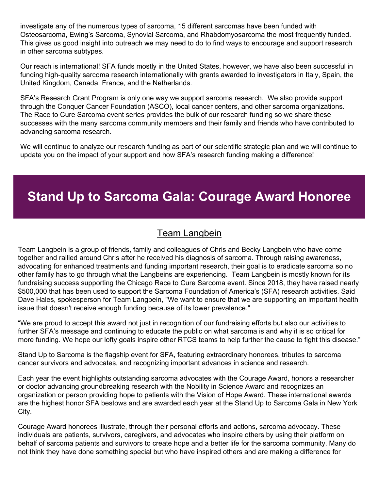investigate any of the numerous types of sarcoma, 15 different sarcomas have been funded with Osteosarcoma, Ewing's Sarcoma, Synovial Sarcoma, and Rhabdomyosarcoma the most frequently funded. This gives us good insight into outreach we may need to do to find ways to encourage and support research in other sarcoma subtypes.

Our reach is international! SFA funds mostly in the United States, however, we have also been successful in funding high-quality sarcoma research internationally with grants awarded to investigators in Italy, Spain, the United Kingdom, Canada, France, and the Netherlands.

SFA's Research Grant Program is only one way we support sarcoma research. We also provide support through the Conquer Cancer Foundation (ASCO), local cancer centers, and other sarcoma organizations. The Race to Cure Sarcoma event series provides the bulk of our research funding so we share these successes with the many sarcoma community members and their family and friends who have contributed to advancing sarcoma research.

We will continue to analyze our research funding as part of our scientific strategic plan and we will continue to update you on the impact of your support and how SFA's research funding making a difference!

#### **Stand Up to Sarcoma Gala: Courage Award Honoree**

#### Team Langbein

Team Langbein is a group of friends, family and colleagues of Chris and Becky Langbein who have come together and rallied around Chris after he received his diagnosis of sarcoma. Through raising awareness, advocating for enhanced treatments and funding important research, their goal is to eradicate sarcoma so no other family has to go through what the Langbeins are experiencing. Team Langbein is mostly known for its fundraising success supporting the Chicago Race to Cure Sarcoma event. Since 2018, they have raised nearly \$500,000 that has been used to support the Sarcoma Foundation of America's (SFA) research activities. Said Dave Hales, spokesperson for Team Langbein, "We want to ensure that we are supporting an important health issue that doesn't receive enough funding because of its lower prevalence."

"We are proud to accept this award not just in recognition of our fundraising efforts but also our activities to further SFA's message and continuing to educate the public on what sarcoma is and why it is so critical for more funding. We hope our lofty goals inspire other RTCS teams to help further the cause to fight this disease."

Stand Up to Sarcoma is the flagship event for SFA, featuring extraordinary honorees, tributes to sarcoma cancer survivors and advocates, and recognizing important advances in science and research.

Each year the event highlights outstanding sarcoma advocates with the Courage Award, honors a researcher or doctor advancing groundbreaking research with the Nobility in Science Award and recognizes an organization or person providing hope to patients with the Vision of Hope Award. These international awards are the highest honor SFA bestows and are awarded each year at the Stand Up to Sarcoma Gala in New York City.

Courage Award honorees illustrate, through their personal efforts and actions, sarcoma advocacy. These individuals are patients, survivors, caregivers, and advocates who inspire others by using their platform on behalf of sarcoma patients and survivors to create hope and a better life for the sarcoma community. Many do not think they have done something special but who have inspired others and are making a difference for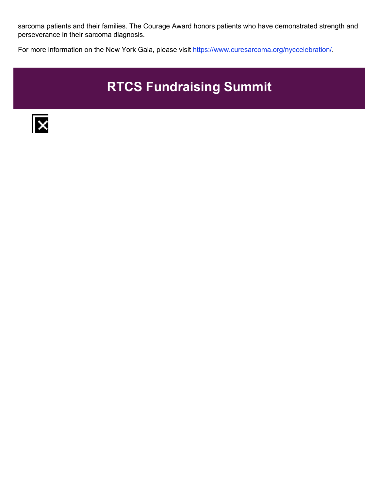sarcoma patients and their families. The Courage Award honors patients who have demonstrated strength and perseverance in their sarcoma diagnosis.

For more information on the New York Gala, please visit https://www.curesarcoma.org/nyccelebration/.

### **RTCS Fundraising Summit**

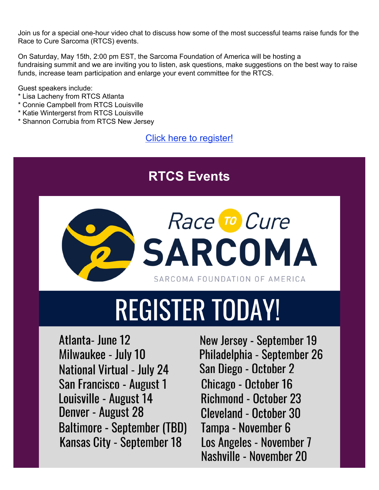Join us for a special one-hour video chat to discuss how some of the most successful teams raise funds for the Race to Cure Sarcoma (RTCS) events.

On Saturday, May 15th, 2:00 pm EST, the Sarcoma Foundation of America will be hosting a fundraising summit and we are inviting you to listen, ask questions, make suggestions on the best way to raise funds, increase team participation and enlarge your event committee for the RTCS.

Guest speakers include:

- \* Lisa Lacheny from RTCS Atlanta
- \* Connie Campbell from RTCS Louisville
- \* Katie Wintergerst from RTCS Louisville
- \* Shannon Corrubia from RTCS New Jersey

Click here to register!

### **RTCS Events**



# **REGISTER TODAY!**

Atlanta-June 12 Milwaukee - July 10 **National Virtual - July 24** San Francisco - August 1 Louisville - August 14 Denver - August 28 **Baltimore - September (TBD) Kansas City - September 18** 

New Jersey - September 19 Philadelphia - September 26 San Diego - October 2 Chicago - October 16 **Richmond - October 23 Cleveland - October 30** Tampa - November 6 Los Angeles - November 7 Nashville - November 20